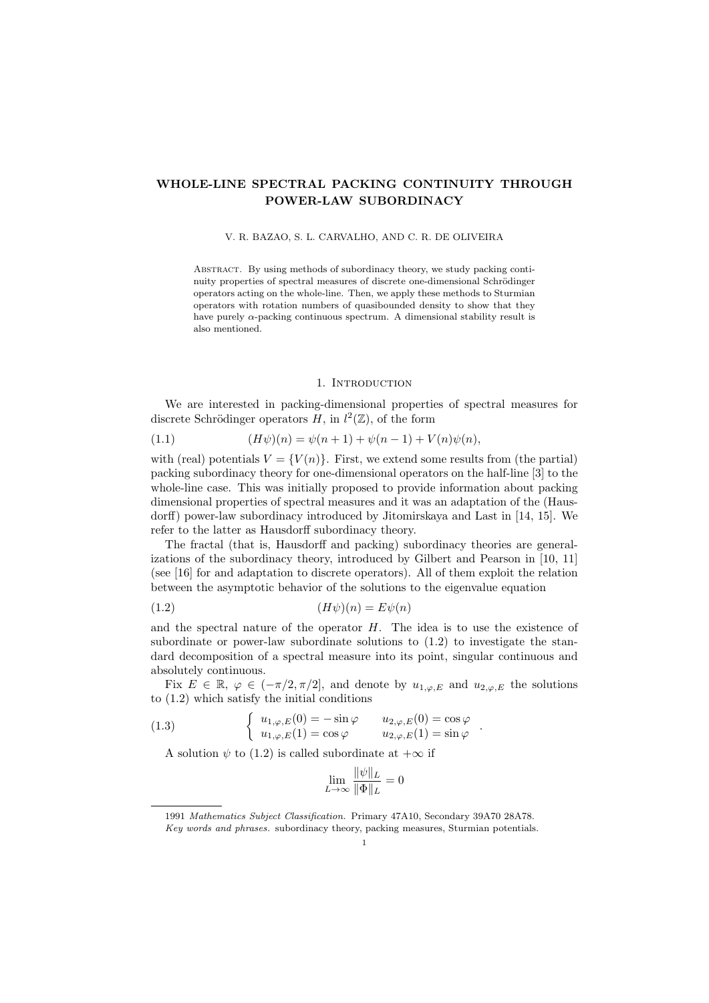# WHOLE-LINE SPECTRAL PACKING CONTINUITY THROUGH POWER-LAW SUBORDINACY

#### V. R. BAZAO, S. L. CARVALHO, AND C. R. DE OLIVEIRA

Abstract. By using methods of subordinacy theory, we study packing continuity properties of spectral measures of discrete one-dimensional Schrödinger operators acting on the whole-line. Then, we apply these methods to Sturmian operators with rotation numbers of quasibounded density to show that they have purely  $\alpha$ -packing continuous spectrum. A dimensional stability result is also mentioned.

### 1. Introduction

We are interested in packing-dimensional properties of spectral measures for discrete Schrödinger operators  $H$ , in  $l^2(\mathbb{Z})$ , of the form

(1.1) 
$$
(H\psi)(n) = \psi(n+1) + \psi(n-1) + V(n)\psi(n),
$$

with (real) potentials  $V = \{V(n)\}\$ . First, we extend some results from (the partial) packing subordinacy theory for one-dimensional operators on the half-line [3] to the whole-line case. This was initially proposed to provide information about packing dimensional properties of spectral measures and it was an adaptation of the (Hausdorff) power-law subordinacy introduced by Jitomirskaya and Last in [14, 15]. We refer to the latter as Hausdorff subordinacy theory.

The fractal (that is, Hausdorff and packing) subordinacy theories are generalizations of the subordinacy theory, introduced by Gilbert and Pearson in [10, 11] (see [16] for and adaptation to discrete operators). All of them exploit the relation between the asymptotic behavior of the solutions to the eigenvalue equation

$$
(1.2)\qquad \qquad (H\psi)(n) = E\psi(n)
$$

and the spectral nature of the operator  $H$ . The idea is to use the existence of subordinate or power-law subordinate solutions to (1.2) to investigate the standard decomposition of a spectral measure into its point, singular continuous and absolutely continuous.

Fix  $E \in \mathbb{R}, \varphi \in (-\pi/2, \pi/2]$ , and denote by  $u_{1,\varphi,E}$  and  $u_{2,\varphi,E}$  the solutions to (1.2) which satisfy the initial conditions

.

(1.3) 
$$
\begin{cases} u_{1,\varphi,E}(0) = -\sin\varphi & u_{2,\varphi,E}(0) = \cos\varphi \\ u_{1,\varphi,E}(1) = \cos\varphi & u_{2,\varphi,E}(1) = \sin\varphi \end{cases}
$$

A solution  $\psi$  to (1.2) is called subordinate at  $+\infty$  if

$$
\lim_{L \to \infty} \frac{\|\psi\|_L}{\|\Phi\|_L} = 0
$$

<sup>1991</sup> Mathematics Subject Classification. Primary 47A10, Secondary 39A70 28A78. Key words and phrases. subordinacy theory, packing measures, Sturmian potentials.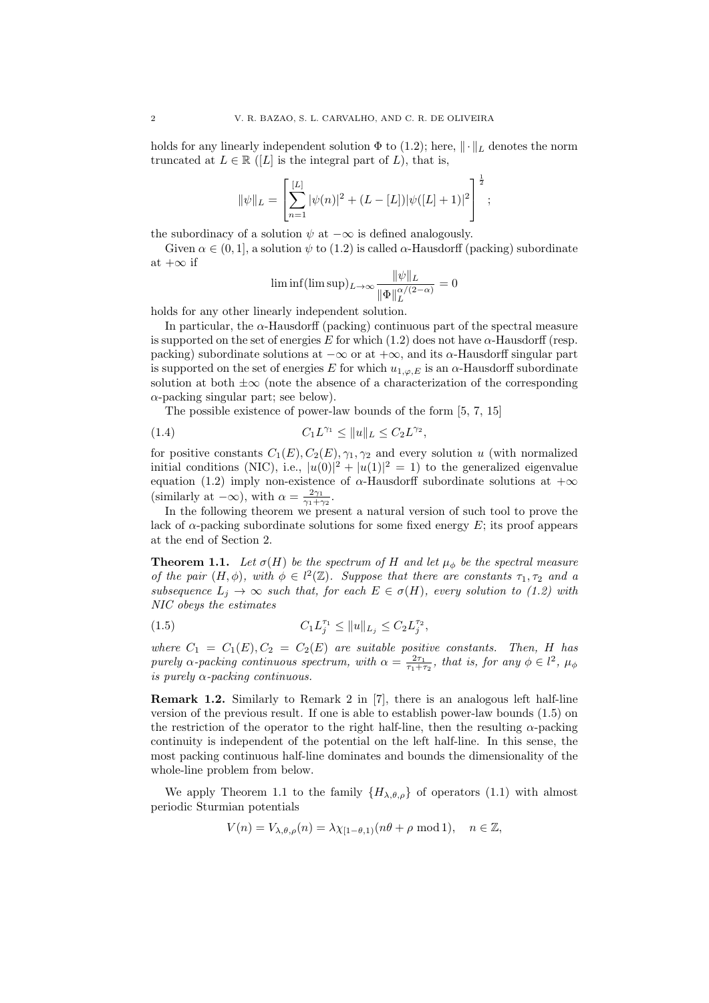holds for any linearly independent solution  $\Phi$  to (1.2); here,  $\|\cdot\|_L$  denotes the norm truncated at  $L \in \mathbb{R}$  ([L] is the integral part of L), that is,

$$
\|\psi\|_{L} = \left[\sum_{n=1}^{[L]} |\psi(n)|^2 + (L - [L])|\psi([L] + 1)|^2\right]^{\frac{1}{2}};
$$

the subordinacy of a solution  $\psi$  at  $-\infty$  is defined analogously.

Given  $\alpha \in (0, 1]$ , a solution  $\psi$  to (1.2) is called  $\alpha$ -Hausdorff (packing) subordinate at  $+\infty$  if

$$
\liminf(\limsup)_{L\to\infty}\frac{\|\psi\|_L}{\|\Phi\|_L^{\alpha/(2-\alpha)}}=0
$$

holds for any other linearly independent solution.

In particular, the  $\alpha$ -Hausdorff (packing) continuous part of the spectral measure is supported on the set of energies E for which  $(1.2)$  does not have  $\alpha$ -Hausdorff (resp. packing) subordinate solutions at  $-\infty$  or at  $+\infty$ , and its  $\alpha$ -Hausdorff singular part is supported on the set of energies E for which  $u_{1,\varphi,E}$  is an  $\alpha$ -Hausdorff subordinate solution at both  $\pm\infty$  (note the absence of a characterization of the corresponding  $\alpha$ -packing singular part; see below).

The possible existence of power-law bounds of the form [5, 7, 15]

(1.4) 
$$
C_1 L^{\gamma_1} \le ||u||_L \le C_2 L^{\gamma_2},
$$

for positive constants  $C_1(E)$ ,  $C_2(E)$ ,  $\gamma_1$ ,  $\gamma_2$  and every solution u (with normalized initial conditions (NIC), i.e.,  $|u(0)|^2 + |u(1)|^2 = 1$  to the generalized eigenvalue equation (1.2) imply non-existence of  $\alpha$ -Hausdorff subordinate solutions at  $+\infty$ (similarly at  $-\infty$ ), with  $\alpha = \frac{2\gamma_1}{\gamma_1 + \gamma_2}$ .

In the following theorem we present a natural version of such tool to prove the lack of  $\alpha$ -packing subordinate solutions for some fixed energy E; its proof appears at the end of Section 2.

**Theorem 1.1.** Let  $\sigma(H)$  be the spectrum of H and let  $\mu_{\phi}$  be the spectral measure of the pair  $(H, \phi)$ , with  $\phi \in l^2(\mathbb{Z})$ . Suppose that there are constants  $\tau_1, \tau_2$  and a subsequence  $L_j \to \infty$  such that, for each  $E \in \sigma(H)$ , every solution to (1.2) with NIC obeys the estimates

(1.5) 
$$
C_1 L_j^{\tau_1} \leq ||u||_{L_j} \leq C_2 L_j^{\tau_2},
$$

where  $C_1 = C_1(E), C_2 = C_2(E)$  are suitable positive constants. Then, H has purely  $\alpha$ -packing continuous spectrum, with  $\alpha = \frac{2\tau_1}{\tau_1 + \tau_2}$ , that is, for any  $\phi \in l^2$ ,  $\mu_{\phi}$ is purely  $\alpha$ -packing continuous.

Remark 1.2. Similarly to Remark 2 in [7], there is an analogous left half-line version of the previous result. If one is able to establish power-law bounds (1.5) on the restriction of the operator to the right half-line, then the resulting  $\alpha$ -packing continuity is independent of the potential on the left half-line. In this sense, the most packing continuous half-line dominates and bounds the dimensionality of the whole-line problem from below.

We apply Theorem 1.1 to the family  $\{H_{\lambda,\theta,\rho}\}\$  of operators (1.1) with almost periodic Sturmian potentials

$$
V(n) = V_{\lambda,\theta,\rho}(n) = \lambda \chi_{[1-\theta,1)}(n\theta + \rho \mod 1), \quad n \in \mathbb{Z},
$$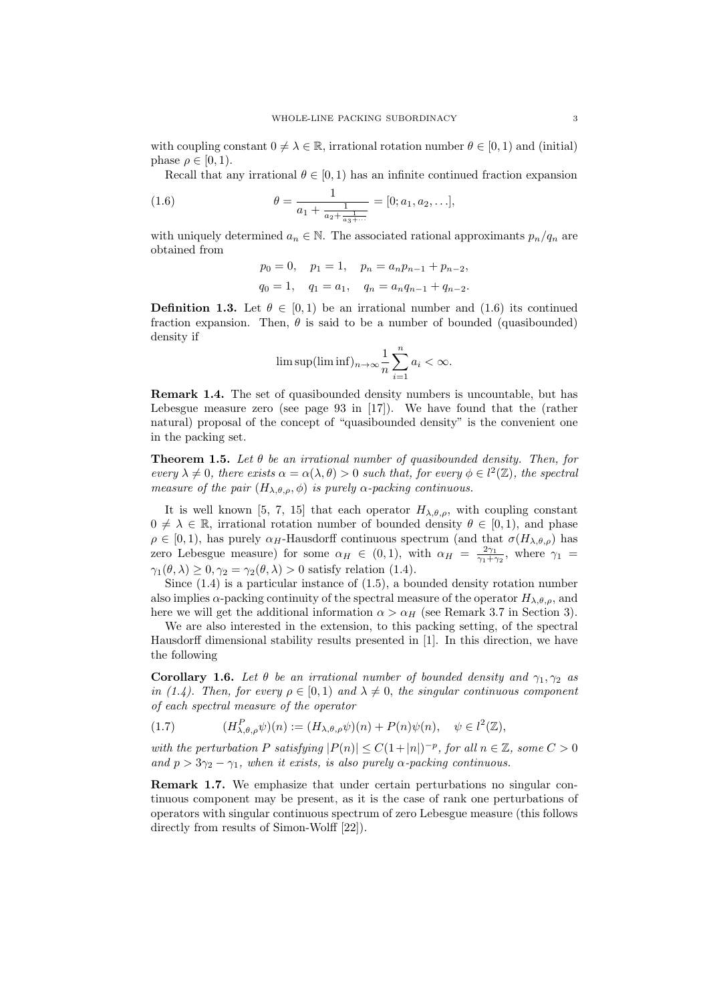with coupling constant  $0 \neq \lambda \in \mathbb{R}$ , irrational rotation number  $\theta \in [0,1)$  and (initial) phase  $\rho \in [0, 1)$ .

Recall that any irrational  $\theta \in [0, 1)$  has an infinite continued fraction expansion

(1.6) 
$$
\theta = \frac{1}{a_1 + \frac{1}{a_2 + \frac{1}{a_3 + \dotsb}}} = [0; a_1, a_2, \dots],
$$

with uniquely determined  $a_n \in \mathbb{N}$ . The associated rational approximants  $p_n/q_n$  are obtained from

$$
p_0 = 0
$$
,  $p_1 = 1$ ,  $p_n = a_n p_{n-1} + p_{n-2}$ ,  
 $q_0 = 1$ ,  $q_1 = a_1$ ,  $q_n = a_n q_{n-1} + q_{n-2}$ .

**Definition 1.3.** Let  $\theta \in [0, 1)$  be an irrational number and (1.6) its continued fraction expansion. Then,  $\theta$  is said to be a number of bounded (quasibounded) density if

$$
\limsup(\liminf)_{n\to\infty}\frac{1}{n}\sum_{i=1}^n a_i < \infty.
$$

Remark 1.4. The set of quasibounded density numbers is uncountable, but has Lebesgue measure zero (see page 93 in [17]). We have found that the (rather natural) proposal of the concept of "quasibounded density" is the convenient one in the packing set.

**Theorem 1.5.** Let  $\theta$  be an irrational number of quasibounded density. Then, for every  $\lambda \neq 0$ , there exists  $\alpha = \alpha(\lambda, \theta) > 0$  such that, for every  $\phi \in l^2(\mathbb{Z})$ , the spectral measure of the pair  $(H_{\lambda,\theta,\rho},\phi)$  is purely  $\alpha$ -packing continuous.

It is well known [5, 7, 15] that each operator  $H_{\lambda,\theta,\rho}$ , with coupling constant  $0 \neq \lambda \in \mathbb{R}$ , irrational rotation number of bounded density  $\theta \in [0,1)$ , and phase  $\rho \in [0, 1)$ , has purely  $\alpha_H$ -Hausdorff continuous spectrum (and that  $\sigma(H_{\lambda,\theta,\rho})$ ) has zero Lebesgue measure) for some  $\alpha_H \in (0,1)$ , with  $\alpha_H = \frac{2\gamma_1}{\gamma_1 + \gamma_2}$ , where  $\gamma_1$  $\gamma_1(\theta, \lambda) \geq 0, \gamma_2 = \gamma_2(\theta, \lambda) > 0$  satisfy relation (1.4).

Since  $(1.4)$  is a particular instance of  $(1.5)$ , a bounded density rotation number also implies  $\alpha$ -packing continuity of the spectral measure of the operator  $H_{\lambda,\theta,\rho}$ , and here we will get the additional information  $\alpha > \alpha_H$  (see Remark 3.7 in Section 3).

We are also interested in the extension, to this packing setting, of the spectral Hausdorff dimensional stability results presented in [1]. In this direction, we have the following

**Corollary 1.6.** Let  $\theta$  be an irrational number of bounded density and  $\gamma_1, \gamma_2$  as in (1.4). Then, for every  $\rho \in [0,1)$  and  $\lambda \neq 0$ , the singular continuous component of each spectral measure of the operator

(1.7) 
$$
(H^P_{\lambda,\theta,\rho}\psi)(n) := (H_{\lambda,\theta,\rho}\psi)(n) + P(n)\psi(n), \quad \psi \in l^2(\mathbb{Z}),
$$

with the perturbation P satisfying  $|P(n)| \leq C(1+|n|)^{-p}$ , for all  $n \in \mathbb{Z}$ , some  $C > 0$ and  $p > 3\gamma_2 - \gamma_1$ , when it exists, is also purely  $\alpha$ -packing continuous.

Remark 1.7. We emphasize that under certain perturbations no singular continuous component may be present, as it is the case of rank one perturbations of operators with singular continuous spectrum of zero Lebesgue measure (this follows directly from results of Simon-Wolff  $[22]$ ).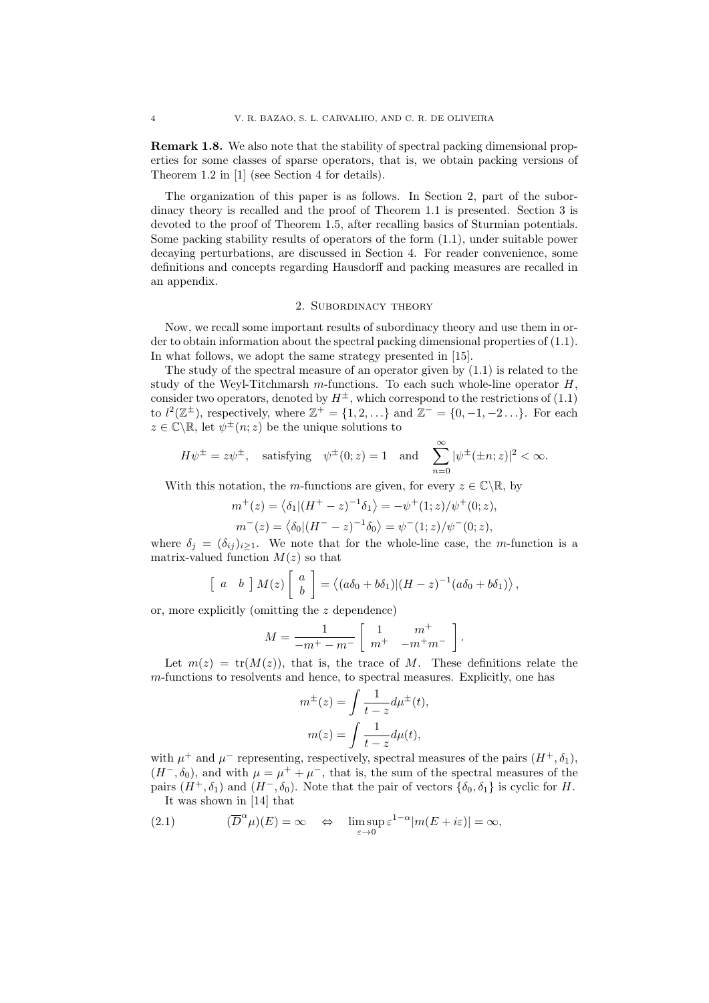Remark 1.8. We also note that the stability of spectral packing dimensional properties for some classes of sparse operators, that is, we obtain packing versions of Theorem 1.2 in [1] (see Section 4 for details).

The organization of this paper is as follows. In Section 2, part of the subordinacy theory is recalled and the proof of Theorem 1.1 is presented. Section 3 is devoted to the proof of Theorem 1.5, after recalling basics of Sturmian potentials. Some packing stability results of operators of the form (1.1), under suitable power decaying perturbations, are discussed in Section 4. For reader convenience, some definitions and concepts regarding Hausdorff and packing measures are recalled in an appendix.

## 2. Subordinacy theory

Now, we recall some important results of subordinacy theory and use them in order to obtain information about the spectral packing dimensional properties of (1.1). In what follows, we adopt the same strategy presented in [15].

The study of the spectral measure of an operator given by (1.1) is related to the study of the Weyl-Titchmarsh  $m$ -functions. To each such whole-line operator  $H$ , consider two operators, denoted by  $H^{\pm}$ , which correspond to the restrictions of (1.1) to  $l^2(\mathbb{Z}^{\pm})$ , respectively, where  $\mathbb{Z}^+ = \{1, 2, \ldots\}$  and  $\mathbb{Z}^- = \{0, -1, -2 \ldots\}$ . For each  $z \in \mathbb{C} \backslash \mathbb{R}$ , let  $\psi^{\pm}(n; z)$  be the unique solutions to

$$
H\psi^{\pm}=z\psi^{\pm},\quad \text{satisfying}\quad \psi^{\pm}(0;z)=1\quad \text{and}\quad \sum_{n=0}^{\infty}|\psi^{\pm}(\pm n;z)|^2<\infty.
$$

With this notation, the m-functions are given, for every  $z \in \mathbb{C} \backslash \mathbb{R}$ , by

$$
m^+(z) = \langle \delta_1 | (H^+ - z)^{-1} \delta_1 \rangle = -\psi^+(1; z) / \psi^+(0; z),
$$
  

$$
m^-(z) = \langle \delta_0 | (H^- - z)^{-1} \delta_0 \rangle = \psi^-(1; z) / \psi^-(0; z),
$$

where  $\delta_j = (\delta_{ij})_{i \geq 1}$ . We note that for the whole-line case, the m-function is a matrix-valued function  $M(z)$  so that

$$
\begin{bmatrix} a & b \end{bmatrix} M(z) \begin{bmatrix} a \\ b \end{bmatrix} = \langle (a\delta_0 + b\delta_1) | (H - z)^{-1} (a\delta_0 + b\delta_1) \rangle,
$$

or, more explicitly (omitting the z dependence)

$$
M = \frac{1}{-m^+ - m^-} \left[ \begin{array}{cc} 1 & m^+ \\ m^+ & -m^+ m^- \end{array} \right].
$$

Let  $m(z) = \text{tr}(M(z))$ , that is, the trace of M. These definitions relate the m-functions to resolvents and hence, to spectral measures. Explicitly, one has

$$
m^{\pm}(z) = \int \frac{1}{t - z} d\mu^{\pm}(t),
$$

$$
m(z) = \int \frac{1}{t - z} d\mu(t),
$$

with  $\mu^+$  and  $\mu^-$  representing, respectively, spectral measures of the pairs  $(H^+,\delta_1)$ ,  $(H^-, \delta_0)$ , and with  $\mu = \mu^+ + \mu^-$ , that is, the sum of the spectral measures of the pairs  $(H^+,\delta_1)$  and  $(H^-,\delta_0)$ . Note that the pair of vectors  $\{\delta_0,\delta_1\}$  is cyclic for H. It was shown in [14] that

(2.1) 
$$
(\overline{D}^{\alpha} \mu)(E) = \infty \quad \Leftrightarrow \quad \limsup_{\varepsilon \to 0} \varepsilon^{1-\alpha} |m(E + i\varepsilon)| = \infty,
$$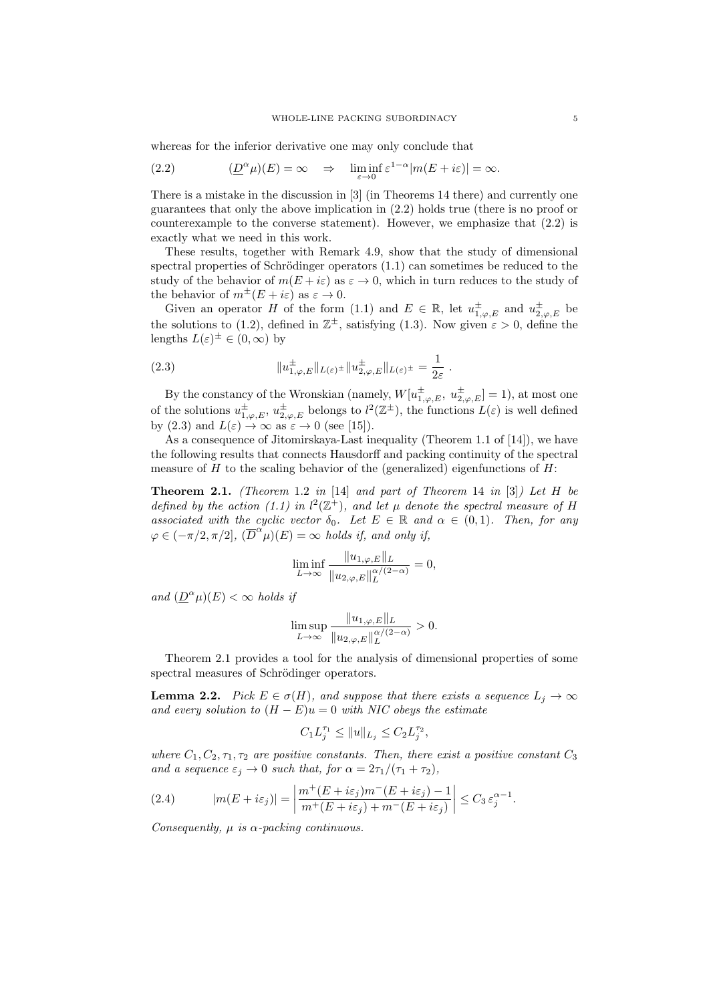whereas for the inferior derivative one may only conclude that

(2.2) 
$$
(\underline{D}^{\alpha}\mu)(E) = \infty \quad \Rightarrow \quad \liminf_{\varepsilon \to 0} \varepsilon^{1-\alpha}|m(E + i\varepsilon)| = \infty.
$$

There is a mistake in the discussion in [3] (in Theorems 14 there) and currently one guarantees that only the above implication in (2.2) holds true (there is no proof or counterexample to the converse statement). However, we emphasize that  $(2.2)$  is exactly what we need in this work.

These results, together with Remark 4.9, show that the study of dimensional spectral properties of Schrödinger operators  $(1.1)$  can sometimes be reduced to the study of the behavior of  $m(E + i\varepsilon)$  as  $\varepsilon \to 0$ , which in turn reduces to the study of the behavior of  $m^{\pm}(E + i\varepsilon)$  as  $\varepsilon \to 0$ .

Given an operator H of the form (1.1) and  $E \in \mathbb{R}$ , let  $u_{1,\varphi,E}^{\pm}$  and  $u_{2,\varphi,E}^{\pm}$  be the solutions to (1.2), defined in  $\mathbb{Z}^{\pm}$ , satisfying (1.3). Now given  $\varepsilon > 0$ , define the lengths  $L(\varepsilon)^\pm \in (0,\infty)$  by

(2.3) 
$$
||u_{1,\varphi,E}^{\pm}||_{L(\varepsilon)^{\pm}}||u_{2,\varphi,E}^{\pm}||_{L(\varepsilon)^{\pm}} = \frac{1}{2\varepsilon}.
$$

By the constancy of the Wronskian (namely,  $W[u_{1,\varphi,E}^{\pm}, u_{2,\varphi,E}^{\pm}] = 1$ ), at most one of the solutions  $u^{\pm}_{1,\varphi,E}$ ,  $u^{\pm}_{2,\varphi,E}$  belongs to  $l^2(\mathbb{Z}^{\pm})$ , the functions  $L(\varepsilon)$  is well defined by (2.3) and  $L(\varepsilon) \to \infty$  as  $\varepsilon \to 0$  (see [15]).

As a consequence of Jitomirskaya-Last inequality (Theorem 1.1 of [14]), we have the following results that connects Hausdorff and packing continuity of the spectral measure of H to the scaling behavior of the (generalized) eigenfunctions of  $H$ :

**Theorem 2.1.** (Theorem 1.2 in [14] and part of Theorem 14 in [3]) Let  $H$  be defined by the action (1.1) in  $l^2(\mathbb{Z}^+)$ , and let  $\mu$  denote the spectral measure of H associated with the cyclic vector  $\delta_0$ . Let  $E \in \mathbb{R}$  and  $\alpha \in (0,1)$ . Then, for any  $\varphi \in (-\pi/2, \pi/2], \, (\overline{D}^{\alpha \ \mu})(E) = \infty$  holds if, and only if,

$$
\liminf_{L \to \infty} \frac{\|u_{1,\varphi,E}\|_L}{\|u_{2,\varphi,E}\|_L^{\alpha/(2-\alpha)}} = 0,
$$

and  $(\underline{D}^{\alpha}\mu)(E) < \infty$  holds if

$$
\limsup_{L\to\infty}\frac{\|u_{1,\varphi,E}\|_{L}}{\|u_{2,\varphi,E}\|_{L}^{\alpha/(2-\alpha)}}>0.
$$

Theorem 2.1 provides a tool for the analysis of dimensional properties of some spectral measures of Schrödinger operators.

**Lemma 2.2.** Pick  $E \in \sigma(H)$ , and suppose that there exists a sequence  $L_j \to \infty$ and every solution to  $(H - E)u = 0$  with NIC obeys the estimate

$$
C_1 L_j^{\tau_1} \le ||u||_{L_j} \le C_2 L_j^{\tau_2},
$$

where  $C_1, C_2, \tau_1, \tau_2$  are positive constants. Then, there exist a positive constant  $C_3$ and a sequence  $\varepsilon_j \to 0$  such that, for  $\alpha = 2\tau_1/(\tau_1 + \tau_2)$ ,

(2.4) 
$$
|m(E + i\varepsilon_j)| = \left| \frac{m^+(E + i\varepsilon_j)m^-(E + i\varepsilon_j) - 1}{m^+(E + i\varepsilon_j) + m^-(E + i\varepsilon_j)} \right| \leq C_3 \, \varepsilon_j^{\alpha - 1}.
$$

Consequently,  $\mu$  is  $\alpha$ -packing continuous.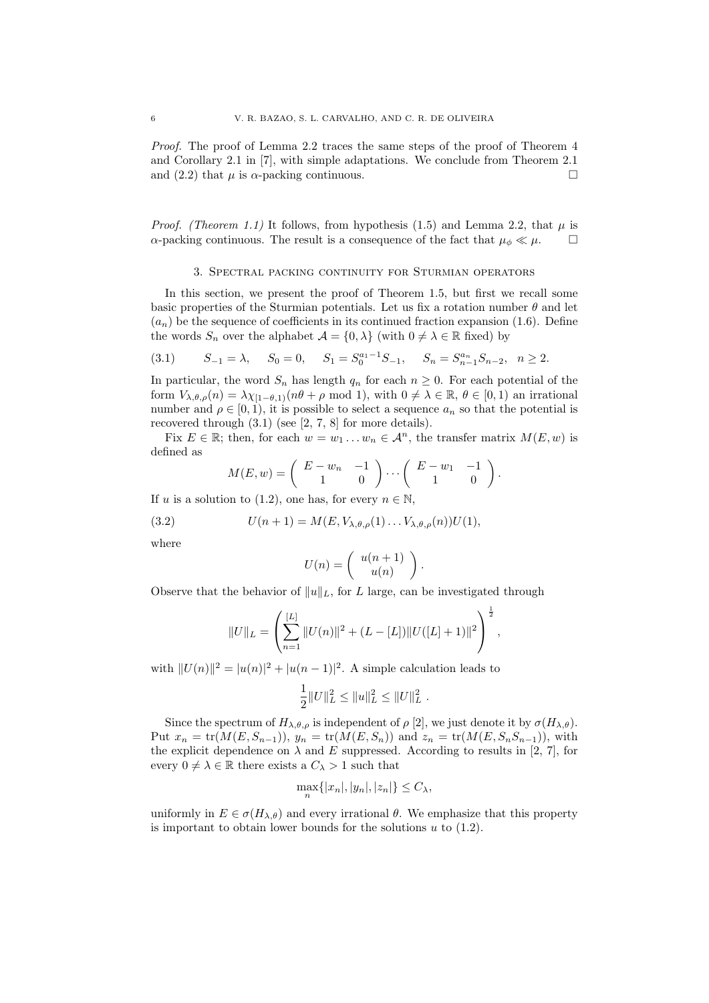Proof. The proof of Lemma 2.2 traces the same steps of the proof of Theorem 4 and Corollary 2.1 in [7], with simple adaptations. We conclude from Theorem 2.1 and (2.2) that  $\mu$  is  $\alpha$ -packing continuous.

*Proof.* (Theorem 1.1) It follows, from hypothesis (1.5) and Lemma 2.2, that  $\mu$  is  $\alpha$ -packing continuous. The result is a consequence of the fact that  $\mu_{\phi} \ll \mu$ .

#### 3. Spectral packing continuity for Sturmian operators

In this section, we present the proof of Theorem 1.5, but first we recall some basic properties of the Sturmian potentials. Let us fix a rotation number  $\theta$  and let  $(a_n)$  be the sequence of coefficients in its continued fraction expansion (1.6). Define the words  $S_n$  over the alphabet  $\mathcal{A} = \{0, \lambda\}$  (with  $0 \neq \lambda \in \mathbb{R}$  fixed) by

$$
(3.1) \t S_{-1} = \lambda, \t S_0 = 0, \t S_1 = S_0^{a_1 - 1} S_{-1}, \t S_n = S_{n-1}^{a_n} S_{n-2}, \t n \ge 2.
$$

In particular, the word  $S_n$  has length  $q_n$  for each  $n \geq 0$ . For each potential of the form  $V_{\lambda,\theta,\rho}(n) = \lambda \chi_{[1-\theta,1)}(n\theta + \rho \text{ mod } 1)$ , with  $0 \neq \lambda \in \mathbb{R}$ ,  $\theta \in [0,1)$  an irrational number and  $\rho \in [0, 1)$ , it is possible to select a sequence  $a_n$  so that the potential is recovered through (3.1) (see [2, 7, 8] for more details).

Fix  $E \in \mathbb{R}$ ; then, for each  $w = w_1 \dots w_n \in \mathcal{A}^n$ , the transfer matrix  $M(E, w)$  is defined as

$$
M(E, w) = \begin{pmatrix} E - w_n & -1 \\ 1 & 0 \end{pmatrix} \cdots \begin{pmatrix} E - w_1 & -1 \\ 1 & 0 \end{pmatrix}.
$$

If u is a solution to (1.2), one has, for every  $n \in \mathbb{N}$ ,

(3.2) 
$$
U(n+1) = M(E, V_{\lambda, \theta, \rho}(1) \dots V_{\lambda, \theta, \rho}(n)) U(1),
$$

where

$$
U(n) = \left( \begin{array}{c} u(n+1) \\ u(n) \end{array} \right).
$$

Observe that the behavior of  $||u||_L$ , for L large, can be investigated through

$$
||U||_{L} = \left(\sum_{n=1}^{[L]} ||U(n)||^{2} + (L - [L])||U([L] + 1)||^{2}\right)^{\frac{1}{2}},
$$

with  $||U(n)||^2 = |u(n)|^2 + |u(n-1)|^2$ . A simple calculation leads to

$$
\frac{1}{2}||U||_L^2 \leq ||u||_L^2 \leq ||U||_L^2.
$$

Since the spectrum of  $H_{\lambda,\theta,\rho}$  is independent of  $\rho$  [2], we just denote it by  $\sigma(H_{\lambda,\theta})$ . Put  $x_n = \text{tr}(M(E, S_{n-1}))$ ,  $y_n = \text{tr}(M(E, S_n))$  and  $z_n = \text{tr}(M(E, S_n S_{n-1}))$ , with the explicit dependence on  $\lambda$  and E suppressed. According to results in [2, 7], for every  $0 \neq \lambda \in \mathbb{R}$  there exists a  $C_{\lambda} > 1$  such that

$$
\max_{n} \{|x_n|, |y_n|, |z_n|\} \le C_{\lambda},
$$

uniformly in  $E \in \sigma(H_{\lambda,\theta})$  and every irrational  $\theta$ . We emphasize that this property is important to obtain lower bounds for the solutions  $u$  to  $(1.2)$ .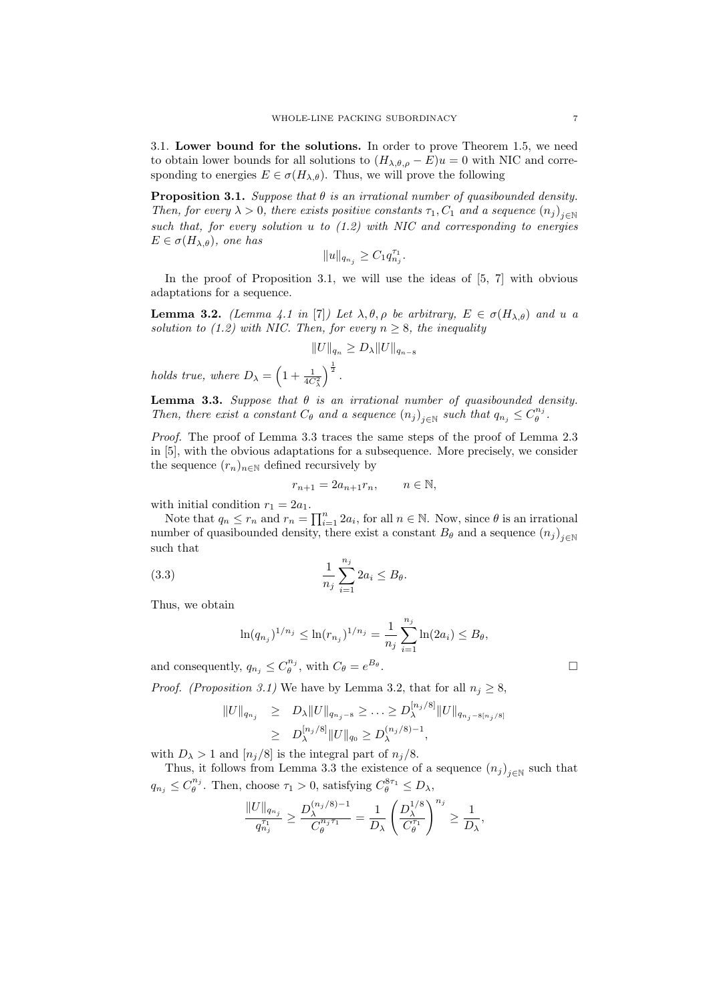3.1. Lower bound for the solutions. In order to prove Theorem 1.5, we need to obtain lower bounds for all solutions to  $(H_{\lambda,\theta,\rho} - E)u = 0$  with NIC and corresponding to energies  $E \in \sigma(H_{\lambda,\theta})$ . Thus, we will prove the following

**Proposition 3.1.** Suppose that  $\theta$  is an irrational number of quasibounded density. Then, for every  $\lambda > 0$ , there exists positive constants  $\tau_1, C_1$  and a sequence  $(n_j)_{j \in \mathbb{N}}$ such that, for every solution u to (1.2) with NIC and corresponding to energies  $E \in \sigma(H_{\lambda,\theta})$ , one has

$$
||u||_{q_{n_j}} \geq C_1 q_{n_j}^{\tau_1}.
$$

In the proof of Proposition 3.1, we will use the ideas of  $[5, 7]$  with obvious adaptations for a sequence.

**Lemma 3.2.** (Lemma 4.1 in [7]) Let  $\lambda, \theta, \rho$  be arbitrary,  $E \in \sigma(H_{\lambda,\theta})$  and u a solution to (1.2) with NIC. Then, for every  $n \geq 8$ , the inequality

$$
||U||_{q_n} \geq D_\lambda ||U||_{q_{n-8}}
$$

holds true, where  $D_{\lambda} = \left(1 + \frac{1}{4C_{\lambda}^2}\right)$  $\bigg\}^{\frac{1}{2}}$ .

**Lemma 3.3.** Suppose that  $\theta$  is an irrational number of quasibounded density. Then, there exist a constant  $C_{\theta}$  and a sequence  $(n_j)_{j \in \mathbb{N}}$  such that  $q_{n_j} \leq C_{\theta}^{n_j}$ .

Proof. The proof of Lemma 3.3 traces the same steps of the proof of Lemma 2.3 in [5], with the obvious adaptations for a subsequence. More precisely, we consider the sequence  $(r_n)_{n\in\mathbb{N}}$  defined recursively by

$$
r_{n+1} = 2a_{n+1}r_n, \qquad n \in \mathbb{N},
$$

with initial condition  $r_1 = 2a_1$ .

Note that  $q_n \leq r_n$  and  $r_n = \prod_{i=1}^n 2a_i$ , for all  $n \in \mathbb{N}$ . Now, since  $\theta$  is an irrational number of quasibounded density, there exist a constant  $B_{\theta}$  and a sequence  $(n_j)_{j \in \mathbb{N}}$ such that

(3.3) 
$$
\frac{1}{n_j} \sum_{i=1}^{n_j} 2a_i \le B_\theta.
$$

Thus, we obtain

$$
\ln(q_{n_j})^{1/n_j} \leq \ln(r_{n_j})^{1/n_j} = \frac{1}{n_j} \sum_{i=1}^{n_j} \ln(2a_i) \leq B_\theta,
$$

and consequently,  $q_{n_j} \leq C_{\theta}^{n_j}$ , with  $C_{\theta} = e^{B_{\theta}}$ 

*Proof.* (*Proposition 3.1*) We have by Lemma 3.2, that for all  $n_i \geq 8$ ,

$$
||U||_{q_{n_j}} \ge D_{\lambda} ||U||_{q_{n_j - 8}} \ge \dots \ge D_{\lambda}^{\lfloor n_j/8 \rfloor} ||U||_{q_{n_j - 8\lfloor n_j/8 \rfloor}}
$$
  
 
$$
\ge D_{\lambda}^{\lfloor n_j/8 \rfloor} ||U||_{q_0} \ge D_{\lambda}^{(n_j/8) - 1},
$$

with  $D_{\lambda} > 1$  and  $[n_j/8]$  is the integral part of  $n_j/8$ .

Thus, it follows from Lemma 3.3 the existence of a sequence  $(n_j)_{j\in\mathbb{N}}$  such that  $q_{n_j} \leq C_{\theta}^{n_j}$ . Then, choose  $\tau_1 > 0$ , satisfying  $C_{\theta}^{8\tau_1} \leq D_{\lambda}$ ,

$$
\frac{\|U\|_{q_{n_j}}}{q_{n_j}^{\tau_1}}\geq \frac{D^{(n_j/8)-1}_\lambda}{C^{n_j\tau_1}_\theta}=\frac{1}{D_\lambda}\left(\frac{D^{1/8}_\lambda}{C^{ \tau_1}_\theta}\right)^{n_j}\geq \frac{1}{D_\lambda},
$$

.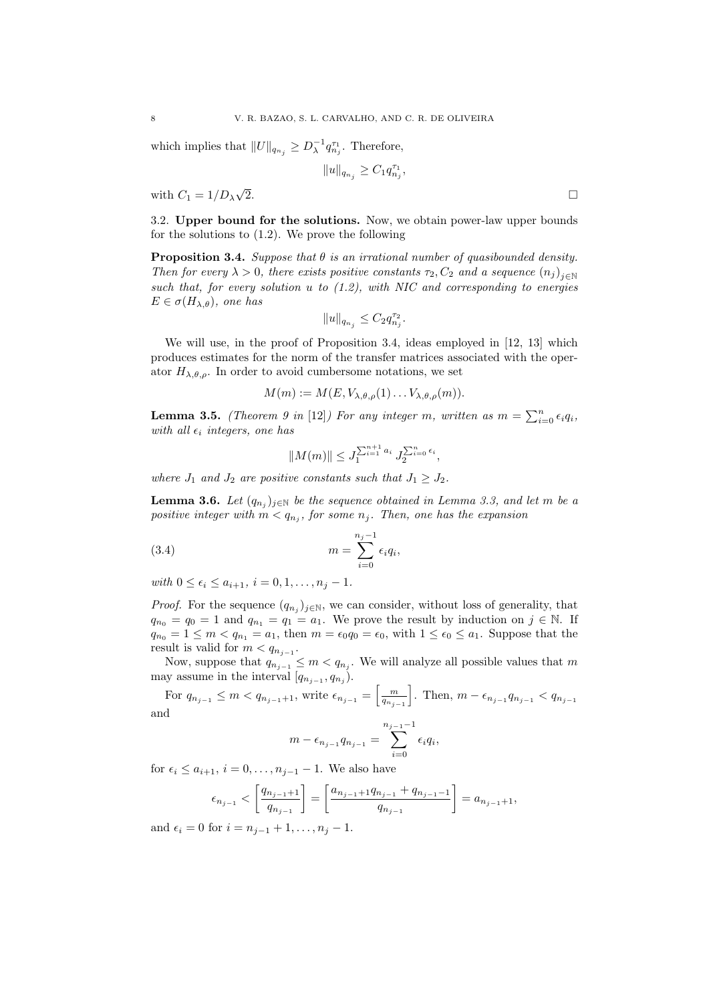which implies that  $||U||_{q_{n_j}} \geq D_{\lambda}^{-1} q_{n_j}^{\tau_1}$ . Therefore,

$$
||u||_{q_{n_j}} \geq C_1 q_{n_j}^{\tau_1},
$$

with  $C_1 = 1/D_\lambda$ √  $\overline{2}$ .

3.2. Upper bound for the solutions. Now, we obtain power-law upper bounds for the solutions to (1.2). We prove the following

**Proposition 3.4.** Suppose that  $\theta$  is an irrational number of quasibounded density. Then for every  $\lambda > 0$ , there exists positive constants  $\tau_2, C_2$  and a sequence  $(n_j)_{j \in \mathbb{N}}$ such that, for every solution  $u$  to  $(1.2)$ , with NIC and corresponding to energies  $E \in \sigma(H_{\lambda,\theta})$ , one has

$$
||u||_{q_{n_j}} \leq C_2 q_{n_j}^{\tau_2}.
$$

We will use, in the proof of Proposition 3.4, ideas employed in [12, 13] which produces estimates for the norm of the transfer matrices associated with the operator  $H_{\lambda,\theta,\rho}$ . In order to avoid cumbersome notations, we set

$$
M(m) := M(E, V_{\lambda, \theta, \rho}(1) \dots V_{\lambda, \theta, \rho}(m)).
$$

**Lemma 3.5.** (Theorem 9 in [12]) For any integer m, written as  $m = \sum_{i=0}^{n} \epsilon_i q_i$ , with all  $\epsilon_i$  integers, one has

$$
||M(m)|| \le J_1^{\sum_{i=1}^{n+1} a_i} J_2^{\sum_{i=0}^n \epsilon_i},
$$

where  $J_1$  and  $J_2$  are positive constants such that  $J_1 \geq J_2$ .

**Lemma 3.6.** Let  $(q_{n_j})_{j\in\mathbb{N}}$  be the sequence obtained in Lemma 3.3, and let m be a positive integer with  $m < q_{n_j}$ , for some  $n_j$ . Then, one has the expansion

$$
(3.4) \t\t m = \sum_{i=0}^{n_j-1} \epsilon_i q_i,
$$

with  $0 \leq \epsilon_i \leq a_{i+1}, i = 0, 1, \ldots, n_i - 1$ .

*Proof.* For the sequence  $(q_{n_j})_{j\in\mathbb{N}}$ , we can consider, without loss of generality, that  $q_{n_0} = q_0 = 1$  and  $q_{n_1} = q_1 = a_1$ . We prove the result by induction on  $j \in \mathbb{N}$ . If  $q_{n_0} = 1 \leq m < q_{n_1} = a_1$ , then  $m = \epsilon_0 q_0 = \epsilon_0$ , with  $1 \leq \epsilon_0 \leq a_1$ . Suppose that the result is valid for  $m < q_{n_{j-1}}$ .

Now, suppose that  $q_{n_{j-1}} \leq m < q_{n_j}$ . We will analyze all possible values that m may assume in the interval  $[q_{n_{j-1}}, q_{n_j}).$ 

For 
$$
q_{n_{j-1}} \le m < q_{n_{j-1}+1}
$$
, write  $\epsilon_{n_{j-1}} = \left[\frac{m}{q_{n_{j-1}}}\right]$ . Then,  $m - \epsilon_{n_{j-1}} q_{n_{j-1}} < q_{n_{j-1}}$  and

$$
m - \epsilon_{n_{j-1}} q_{n_{j-1}} = \sum_{i=0}^{n_{j-1}-1} \epsilon_i q_i,
$$

for  $\epsilon_i \le a_{i+1}, i = 0, \ldots, n_{i-1} - 1$ . We also have

$$
\epsilon_{n_{j-1}} < \left[ \frac{q_{n_{j-1}+1}}{q_{n_{j-1}}} \right] = \left[ \frac{a_{n_{j-1}+1}q_{n_{j-1}} + q_{n_{j-1}-1}}{q_{n_{j-1}}} \right] = a_{n_{j-1}+1},
$$

and  $\epsilon_i = 0$  for  $i = n_{i-1} + 1, \ldots, n_j - 1$ .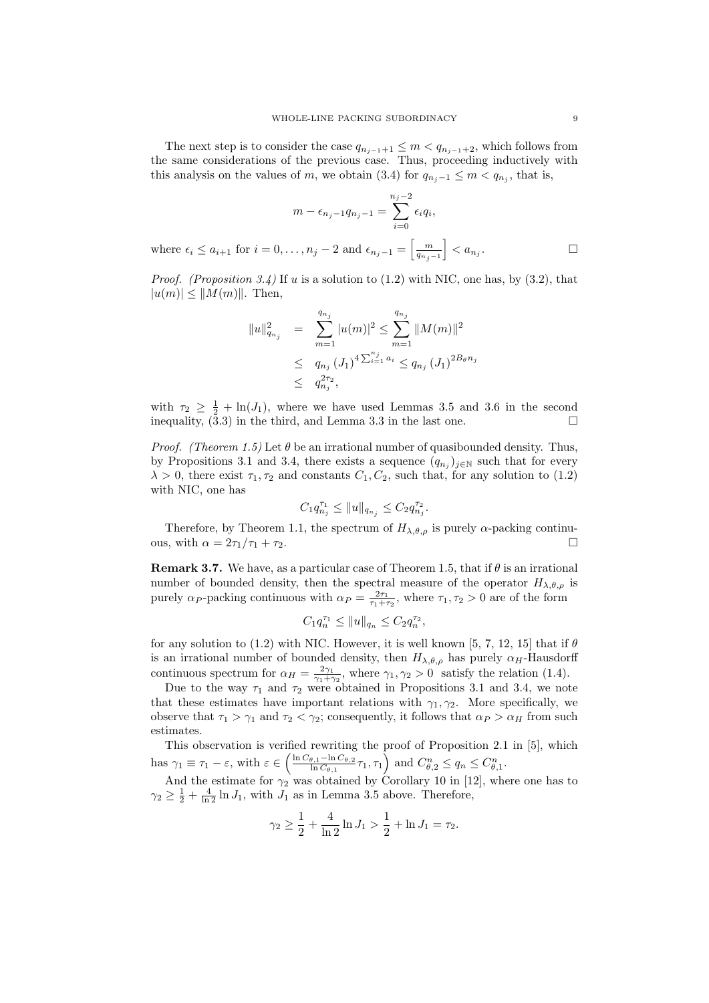The next step is to consider the case  $q_{n_{j-1}+1} \leq m < q_{n_{j-1}+2}$ , which follows from the same considerations of the previous case. Thus, proceeding inductively with this analysis on the values of m, we obtain (3.4) for  $q_{n_j-1} \leq m < q_{n_j}$ , that is,

$$
m - \epsilon_{n_j - 1} q_{n_j - 1} = \sum_{i=0}^{n_j - 2} \epsilon_i q_i,
$$
  
,...,  $n_j - 2$  and  $\epsilon_{n_j - 1} = \left[\frac{m}{q_{n_j - 1}}\right] < a_{n_j}.$ 

*Proof.* (Proposition 3.4) If u is a solution to  $(1.2)$  with NIC, one has, by  $(3.2)$ , that  $|u(m)| \leq ||M(m)||$ . Then,

where  $\epsilon_i \leq a_{i+1}$  for  $i = 0$ 

$$
||u||_{q_{n_j}}^2 = \sum_{m=1}^{q_{n_j}} |u(m)|^2 \le \sum_{m=1}^{q_{n_j}} ||M(m)||^2
$$
  

$$
\le q_{n_j} (J_1)^4 \sum_{i=1}^{n_j} a_i \le q_{n_j} (J_1)^{2B_\theta n_j}
$$
  

$$
\le q_{n_j}^{2\tau_2},
$$

with  $\tau_2 \geq \frac{1}{2} + \ln(J_1)$ , where we have used Lemmas 3.5 and 3.6 in the second inequality, (3.3) in the third, and Lemma 3.3 in the last one.

*Proof.* (Theorem 1.5) Let  $\theta$  be an irrational number of quasibounded density. Thus, by Propositions 3.1 and 3.4, there exists a sequence  $(q_{n_j})_{j\in\mathbb{N}}$  such that for every  $\lambda > 0$ , there exist  $\tau_1, \tau_2$  and constants  $C_1, C_2$ , such that, for any solution to (1.2) with NIC, one has

$$
C_1 q_{n_j}^{\tau_1} \le ||u||_{q_{n_j}} \le C_2 q_{n_j}^{\tau_2}.
$$

Therefore, by Theorem 1.1, the spectrum of  $H_{\lambda,\theta,\rho}$  is purely  $\alpha$ -packing continuous, with  $\alpha = 2\tau_1/\tau_1 + \tau_2$ .

**Remark 3.7.** We have, as a particular case of Theorem 1.5, that if  $\theta$  is an irrational number of bounded density, then the spectral measure of the operator  $H_{\lambda,\theta,\rho}$  is purely  $\alpha_P$ -packing continuous with  $\alpha_P = \frac{2\tau_1}{\tau_1 + \tau_2}$ , where  $\tau_1, \tau_2 > 0$  are of the form

$$
C_1 q_n^{\tau_1} \le ||u||_{q_n} \le C_2 q_n^{\tau_2},
$$

for any solution to (1.2) with NIC. However, it is well known [5, 7, 12, 15] that if  $\theta$ is an irrational number of bounded density, then  $H_{\lambda,\theta,\rho}$  has purely  $\alpha_H$ -Hausdorff continuous spectrum for  $\alpha_H = \frac{2\gamma_1}{\gamma_1 + \gamma_2}$ , where  $\gamma_1, \gamma_2 > 0$  satisfy the relation (1.4).

Due to the way  $\tau_1$  and  $\tau_2$  were obtained in Propositions 3.1 and 3.4, we note that these estimates have important relations with  $\gamma_1, \gamma_2$ . More specifically, we observe that  $\tau_1 > \gamma_1$  and  $\tau_2 < \gamma_2$ ; consequently, it follows that  $\alpha_P > \alpha_H$  from such estimates.

This observation is verified rewriting the proof of Proposition 2.1 in [5], which has  $\gamma_1 \equiv \tau_1 - \varepsilon$ , with  $\varepsilon \in \left(\frac{\ln C_{\theta,1} - \ln C_{\theta,2}}{\ln C_{\theta,1}}\right)$  $\frac{\theta_{\beta,1}-\ln C_{\theta,2}}{\ln C_{\theta,1}} \tau_1, \tau_1 \right)$  and  $C_{\theta,2}^n \le q_n \le C_{\theta,1}^n$ .

And the estimate for  $\gamma_2$  was obtained by Corollary 10 in [12], where one has to  $\gamma_2 \geq \frac{1}{2} + \frac{4}{\ln 2} \ln J_1$ , with  $J_1$  as in Lemma 3.5 above. Therefore,

$$
\gamma_2 \ge \frac{1}{2} + \frac{4}{\ln 2} \ln J_1 > \frac{1}{2} + \ln J_1 = \tau_2.
$$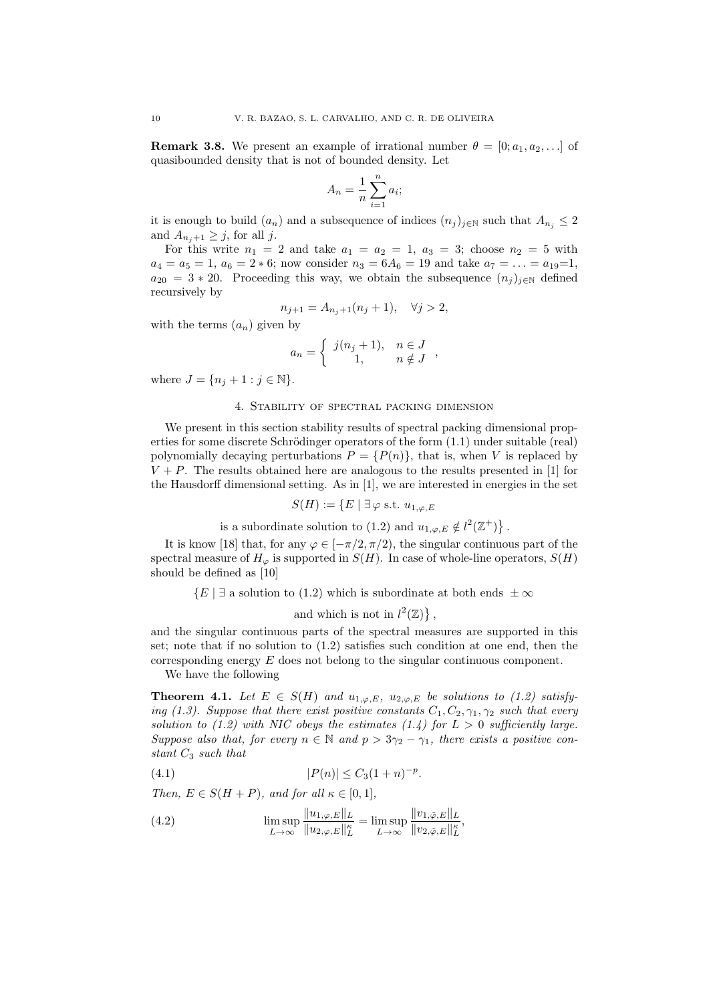**Remark 3.8.** We present an example of irrational number  $\theta = [0; a_1, a_2, \ldots]$  of quasibounded density that is not of bounded density. Let

$$
A_n = \frac{1}{n} \sum_{i=1}^n a_i;
$$

it is enough to build  $(a_n)$  and a subsequence of indices  $(n_j)_{j\in\mathbb{N}}$  such that  $A_{n_j}\leq 2$ and  $A_{n,i+1} \geq j$ , for all j.

For this write  $n_1 = 2$  and take  $a_1 = a_2 = 1$ ,  $a_3 = 3$ ; choose  $n_2 = 5$  with  $a_4 = a_5 = 1, a_6 = 2 * 6$ ; now consider  $n_3 = 6A_6 = 19$  and take  $a_7 = \ldots = a_{19} = 1$ .  $a_{20} = 3 * 20$ . Proceeding this way, we obtain the subsequence  $(n_j)_{j \in \mathbb{N}}$  defined recursively by

$$
n_{j+1} = A_{n_j+1}(n_j + 1), \quad \forall j > 2,
$$

with the terms  $(a_n)$  given by

$$
a_n = \begin{cases} j(n_j + 1), & n \in J \\ 1, & n \notin J \end{cases}
$$

where  $J = \{n_j + 1 : j \in \mathbb{N}\}.$ 

#### 4. Stability of spectral packing dimension

We present in this section stability results of spectral packing dimensional properties for some discrete Schrödinger operators of the form  $(1.1)$  under suitable (real) polynomially decaying perturbations  $P = {P(n)}$ , that is, when V is replaced by  $V + P$ . The results obtained here are analogous to the results presented in [1] for the Hausdorff dimensional setting. As in [1], we are interested in energies in the set

$$
S(H) := \{ E \mid \exists \varphi \text{ s.t. } u_{1,\varphi,E}
$$

is a subordinate solution to (1.2) and  $u_{1,\varphi,E} \notin l^2(\mathbb{Z}^+) \}$ .

It is know [18] that, for any  $\varphi \in [-\pi/2, \pi/2)$ , the singular continuous part of the spectral measure of  $H_{\varphi}$  is supported in  $S(H)$ . In case of whole-line operators,  $S(H)$ should be defined as [10]

 $\{E \mid \exists$  a solution to (1.2) which is subordinate at both ends  $\pm \infty$ 

and which is not in  $l^2(\mathbb{Z})\},\$ 

and the singular continuous parts of the spectral measures are supported in this set; note that if no solution to (1.2) satisfies such condition at one end, then the corresponding energy  $E$  does not belong to the singular continuous component.

We have the following

**Theorem 4.1.** Let  $E \in S(H)$  and  $u_{1,\varphi,E}$ ,  $u_{2,\varphi,E}$  be solutions to (1.2) satisfying (1.3). Suppose that there exist positive constants  $C_1, C_2, \gamma_1, \gamma_2$  such that every solution to (1.2) with NIC obeys the estimates (1.4) for  $L > 0$  sufficiently large. Suppose also that, for every  $n \in \mathbb{N}$  and  $p > 3\gamma_2 - \gamma_1$ , there exists a positive constant  $C_3$  such that

(4.1) 
$$
|P(n)| \le C_3(1+n)^{-p}.
$$

Then,  $E \in S(H + P)$ , and for all  $\kappa \in [0, 1]$ ,

(4.2) 
$$
\limsup_{L \to \infty} \frac{\|u_{1,\varphi,E}\|_{L}}{\|u_{2,\varphi,E}\|_{L}^{\kappa}} = \limsup_{L \to \infty} \frac{\|v_{1,\tilde{\varphi},E}\|_{L}}{\|v_{2,\tilde{\varphi},E}\|_{L}^{\kappa}},
$$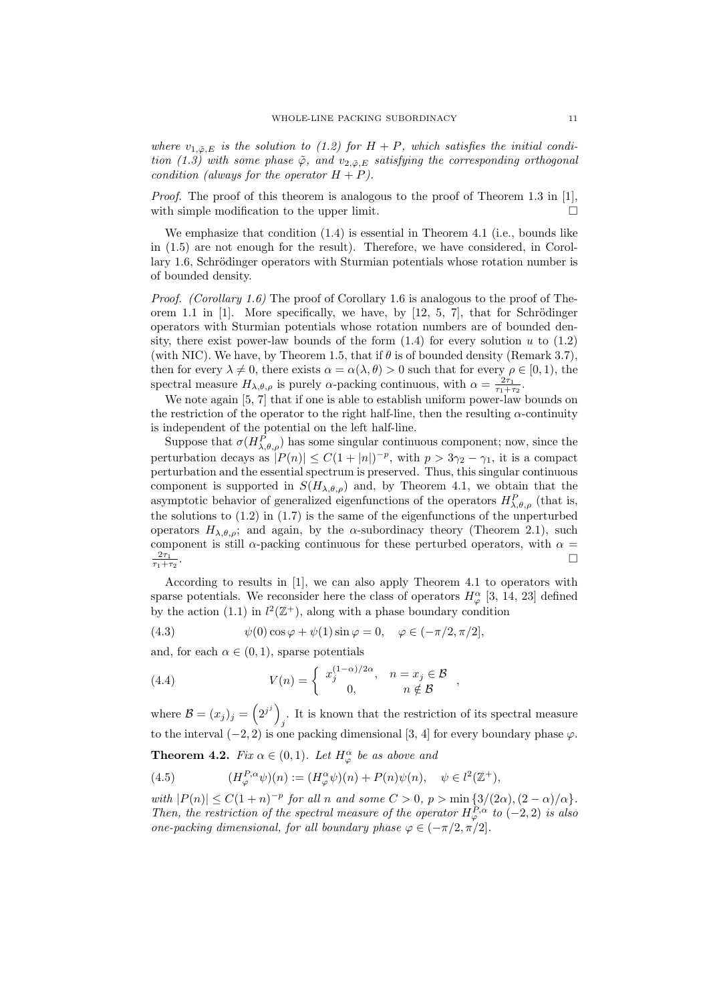where  $v_{1,\tilde{\varphi},E}$  is the solution to (1.2) for  $H + P$ , which satisfies the initial condition (1.3) with some phase  $\tilde{\varphi}$ , and  $v_{2,\tilde{\varphi},E}$  satisfying the corresponding orthogonal condition (always for the operator  $H + P$ ).

Proof. The proof of this theorem is analogous to the proof of Theorem 1.3 in [1], with simple modification to the upper limit.  $\Box$ 

We emphasize that condition  $(1.4)$  is essential in Theorem 4.1 (i.e., bounds like in (1.5) are not enough for the result). Therefore, we have considered, in Corollary 1.6, Schrödinger operators with Sturmian potentials whose rotation number is of bounded density.

*Proof.* (Corollary 1.6) The proof of Corollary 1.6 is analogous to the proof of Theorem 1.1 in  $[1]$ . More specifically, we have, by  $[12, 5, 7]$ , that for Schrödinger operators with Sturmian potentials whose rotation numbers are of bounded density, there exist power-law bounds of the form  $(1.4)$  for every solution u to  $(1.2)$ (with NIC). We have, by Theorem 1.5, that if  $\theta$  is of bounded density (Remark 3.7), then for every  $\lambda \neq 0$ , there exists  $\alpha = \alpha(\lambda, \theta) > 0$  such that for every  $\rho \in [0, 1)$ , the spectral measure  $H_{\lambda,\theta,\rho}$  is purely  $\alpha$ -packing continuous, with  $\alpha = \frac{2\tau_1}{\tau_1 + \tau_2}$ .

We note again [5, 7] that if one is able to establish uniform power-law bounds on the restriction of the operator to the right half-line, then the resulting  $\alpha$ -continuity is independent of the potential on the left half-line.

Suppose that  $\sigma(H_{\lambda,\theta,\rho}^P)$  has some singular continuous component; now, since the perturbation decays as  $|P(n)| \leq C(1+|n|)^{-p}$ , with  $p > 3\gamma_2 - \gamma_1$ , it is a compact perturbation and the essential spectrum is preserved. Thus, this singular continuous component is supported in  $S(H_{\lambda,\theta,\rho})$  and, by Theorem 4.1, we obtain that the asymptotic behavior of generalized eigenfunctions of the operators  $H_{\lambda,\theta,\rho}^P$  (that is, the solutions to  $(1.2)$  in  $(1.7)$  is the same of the eigenfunctions of the unperturbed operators  $H_{\lambda,\theta,\rho}$ ; and again, by the  $\alpha$ -subordinacy theory (Theorem 2.1), such component is still  $\alpha$ -packing continuous for these perturbed operators, with  $\alpha =$  $rac{2\tau_1}{\tau_1+\tau_2}$ .

According to results in [1], we can also apply Theorem 4.1 to operators with sparse potentials. We reconsider here the class of operators  $H_{\varphi}^{\alpha}$  [3, 14, 23] defined by the action (1.1) in  $l^2(\mathbb{Z}^+)$ , along with a phase boundary condition

(4.3) 
$$
\psi(0)\cos\varphi + \psi(1)\sin\varphi = 0, \quad \varphi \in (-\pi/2, \pi/2],
$$

and, for each  $\alpha \in (0,1)$ , sparse potentials

(4.4) 
$$
V(n) = \begin{cases} x_j^{(1-\alpha)/2\alpha}, & n = x_j \in \mathcal{B} \\ 0, & n \notin \mathcal{B} \end{cases}
$$

where  $\mathcal{B}=(x_j)_j=\left(2^{j^j}\right)^j$ . It is known that the restriction of its spectral measure  $j$ to the interval  $(-2, 2)$  is one packing dimensional [3, 4] for every boundary phase  $\varphi$ .

**Theorem 4.2.** Fix  $\alpha \in (0,1)$ . Let  $H^{\alpha}_{\varphi}$  be as above and

(4.5) 
$$
(H_{\varphi}^{P,\alpha}\psi)(n) := (H_{\varphi}^{\alpha}\psi)(n) + P(n)\psi(n), \quad \psi \in l^{2}(\mathbb{Z}^{+}),
$$

with  $|P(n)| \leq C(1+n)^{-p}$  for all n and some  $C > 0$ ,  $p > \min\{3/(2\alpha), (2-\alpha)/\alpha\}.$ Then, the restriction of the spectral measure of the operator  $H^{P,\alpha}_{\varphi}$  to (-2,2) is also one-packing dimensional, for all boundary phase  $\varphi \in (-\pi/2, \pi/2]$ .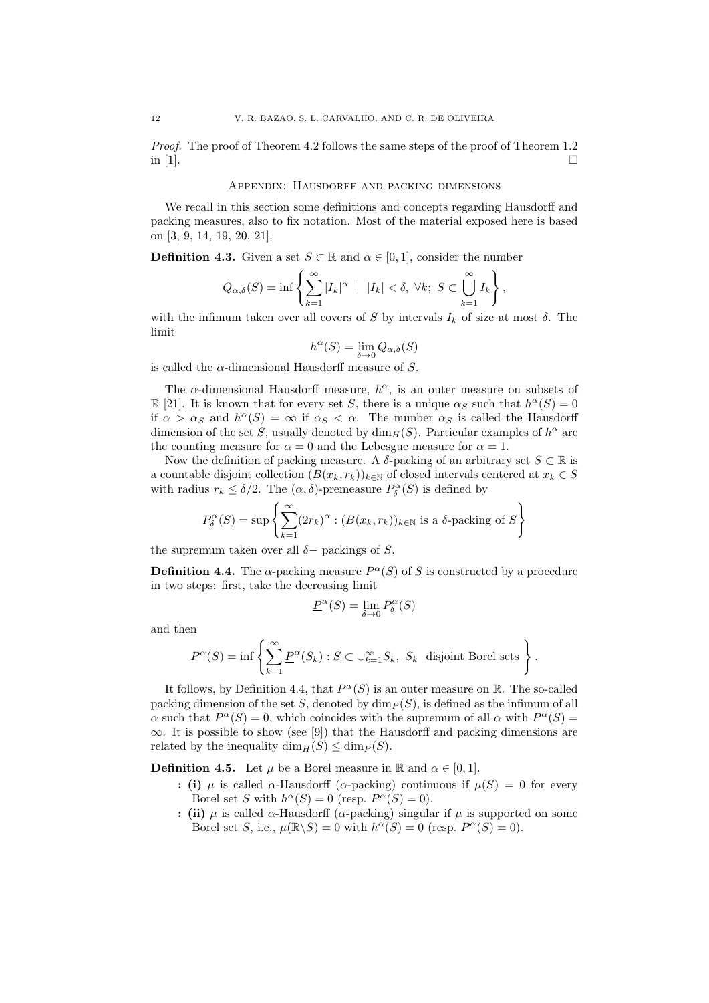Proof. The proof of Theorem 4.2 follows the same steps of the proof of Theorem 1.2 in [1].

#### APPENDIX: HAUSDORFF AND PACKING DIMENSIONS

We recall in this section some definitions and concepts regarding Hausdorff and packing measures, also to fix notation. Most of the material exposed here is based on [3, 9, 14, 19, 20, 21].

**Definition 4.3.** Given a set  $S \subset \mathbb{R}$  and  $\alpha \in [0, 1]$ , consider the number

$$
Q_{\alpha,\delta}(S) = \inf \left\{ \sum_{k=1}^{\infty} |I_k|^{\alpha} \ | \ |I_k| < \delta, \ \forall k; \ S \subset \bigcup_{k=1}^{\infty} I_k \right\},
$$

with the infimum taken over all covers of S by intervals  $I_k$  of size at most  $\delta$ . The limit

$$
h^{\alpha}(S) = \lim_{\delta \to 0} Q_{\alpha,\delta}(S)
$$

is called the  $\alpha$ -dimensional Hausdorff measure of S.

The  $\alpha$ -dimensional Hausdorff measure,  $h^{\alpha}$ , is an outer measure on subsets of  $\mathbb{R}$  [21]. It is known that for every set S, there is a unique  $\alpha_S$  such that  $h^{\alpha}(S) = 0$ if  $\alpha > \alpha_S$  and  $h^{\alpha}(S) = \infty$  if  $\alpha_S < \alpha$ . The number  $\alpha_S$  is called the Hausdorff dimension of the set S, usually denoted by  $\dim_H(S)$ . Particular examples of  $h^{\alpha}$  are the counting measure for  $\alpha = 0$  and the Lebesgue measure for  $\alpha = 1$ .

Now the definition of packing measure. A  $\delta$ -packing of an arbitrary set  $S \subset \mathbb{R}$  is a countable disjoint collection  $(B(x_k, r_k))_{k\in\mathbb{N}}$  of closed intervals centered at  $x_k \in S$ with radius  $r_k \leq \delta/2$ . The  $(\alpha, \delta)$ -premeasure  $P^{\alpha}_{\delta}(S)$  is defined by

$$
P_{\delta}^{\alpha}(S) = \sup \left\{ \sum_{k=1}^{\infty} (2r_k)^{\alpha} : (B(x_k, r_k))_{k \in \mathbb{N}} \text{ is a } \delta \text{-packing of } S \right\}
$$

the supremum taken over all  $\delta$  – packings of S.

**Definition 4.4.** The  $\alpha$ -packing measure  $P^{\alpha}(S)$  of S is constructed by a procedure in two steps: first, take the decreasing limit

$$
\underline{P}^{\alpha}(S) = \lim_{\delta \to 0} P^{\alpha}_{\delta}(S)
$$

and then

$$
P^{\alpha}(S) = \inf \left\{ \sum_{k=1}^{\infty} \underline{P}^{\alpha}(S_k) : S \subset \bigcup_{k=1}^{\infty} S_k, \ S_k \text{ disjoint Borel sets} \right\}.
$$

It follows, by Definition 4.4, that  $P^{\alpha}(S)$  is an outer measure on R. The so-called packing dimension of the set S, denoted by  $\dim_P (S)$ , is defined as the infimum of all  $\alpha$  such that  $P^{\alpha}(S) = 0$ , which coincides with the supremum of all  $\alpha$  with  $P^{\alpha}(S) =$  $\infty$ . It is possible to show (see [9]) that the Hausdorff and packing dimensions are related by the inequality  $\dim_H(S) \leq \dim_P(S)$ .

**Definition 4.5.** Let  $\mu$  be a Borel measure in R and  $\alpha \in [0, 1]$ .

- : (i)  $\mu$  is called  $\alpha$ -Hausdorff ( $\alpha$ -packing) continuous if  $\mu(S) = 0$  for every Borel set S with  $h^{\alpha}(S) = 0$  (resp.  $P^{\alpha}(S) = 0$ ).
- : (ii)  $\mu$  is called  $\alpha$ -Hausdorff ( $\alpha$ -packing) singular if  $\mu$  is supported on some Borel set S, i.e.,  $\mu(\mathbb{R}\backslash S) = 0$  with  $h^{\alpha}(S) = 0$  (resp.  $P^{\alpha}(S) = 0$ ).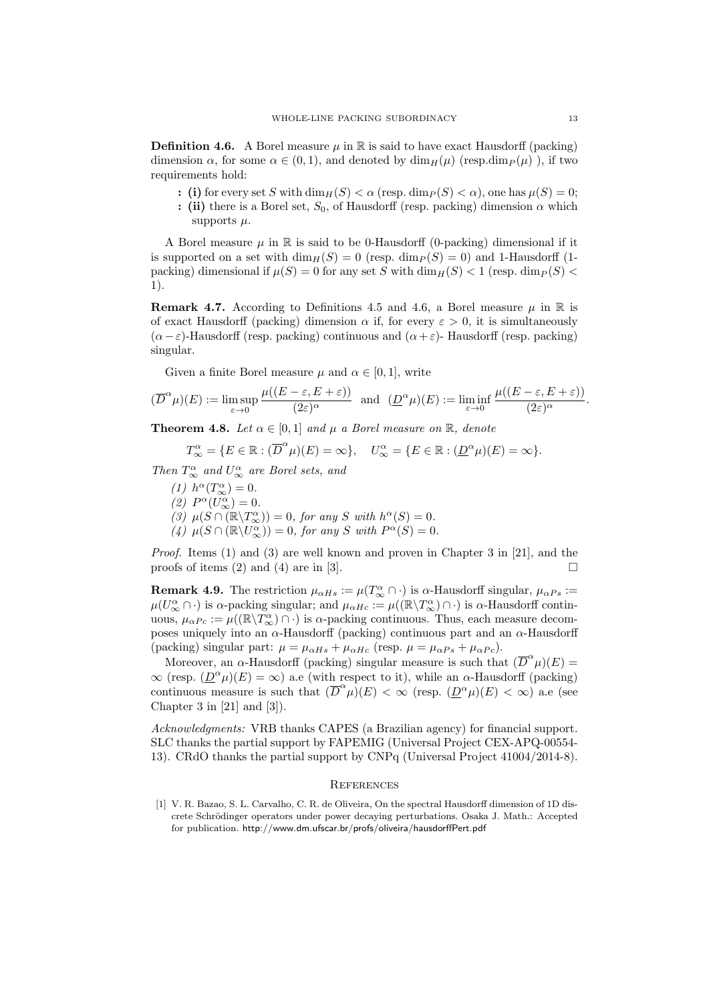**Definition 4.6.** A Borel measure  $\mu$  in R is said to have exact Hausdorff (packing) dimension  $\alpha$ , for some  $\alpha \in (0,1)$ , and denoted by  $\dim_H(\mu)$  (resp.dim $_P(\mu)$ ), if two requirements hold:

- : (i) for every set S with  $\dim_H(S) < \alpha$  (resp.  $\dim_P(S) < \alpha$ ), one has  $\mu(S) = 0$ ;
- : (ii) there is a Borel set,  $S_0$ , of Hausdorff (resp. packing) dimension  $\alpha$  which supports  $\mu$ .

A Borel measure  $\mu$  in R is said to be 0-Hausdorff (0-packing) dimensional if it is supported on a set with  $\dim_H(S) = 0$  (resp.  $\dim_P(S) = 0$ ) and 1-Hausdorff (1packing) dimensional if  $\mu(S) = 0$  for any set S with  $\dim_H(S) < 1$  (resp.  $\dim_P(S) <$ 1).

**Remark 4.7.** According to Definitions 4.5 and 4.6, a Borel measure  $\mu$  in R is of exact Hausdorff (packing) dimension  $\alpha$  if, for every  $\varepsilon > 0$ , it is simultaneously  $(\alpha - \varepsilon)$ -Hausdorff (resp. packing) continuous and  $(\alpha + \varepsilon)$ -Hausdorff (resp. packing) singular.

Given a finite Borel measure  $\mu$  and  $\alpha \in [0, 1]$ , write

$$
(\overline{D}^{\alpha}\mu)(E) := \limsup_{\varepsilon \to 0} \frac{\mu((E - \varepsilon, E + \varepsilon))}{(2\varepsilon)^{\alpha}} \text{ and } (\underline{D}^{\alpha}\mu)(E) := \liminf_{\varepsilon \to 0} \frac{\mu((E - \varepsilon, E + \varepsilon))}{(2\varepsilon)^{\alpha}}.
$$

**Theorem 4.8.** Let  $\alpha \in [0,1]$  and  $\mu$  a Borel measure on  $\mathbb{R}$ , denote

$$
T_{\infty}^{\alpha} = \{ E \in \mathbb{R} : (\overline{D}^{\alpha} \mu)(E) = \infty \}, \quad U_{\infty}^{\alpha} = \{ E \in \mathbb{R} : (\underline{D}^{\alpha} \mu)(E) = \infty \}.
$$

Then  $T_{\infty}^{\alpha}$  and  $U_{\infty}^{\alpha}$  are Borel sets, and

(1)  $h^{\alpha}(T^{\alpha}_{\infty}) = 0.$ (2)  $P^{\alpha}(U^{\alpha}_{\infty})=0.$ (3)  $\mu(S \cap (\mathbb{R} \setminus T_{\infty}^{\alpha})) = 0$ , for any S with  $h^{\alpha}(S) = 0$ . (4)  $\mu(S \cap (\mathbb{R} \setminus U^{\alpha}_{\infty})) = 0$ , for any S with  $P^{\alpha}(S) = 0$ .

Proof. Items (1) and (3) are well known and proven in Chapter 3 in [21], and the proofs of items (2) and (4) are in [3].

**Remark 4.9.** The restriction  $\mu_{\alpha Hs} := \mu(T_{\infty}^{\alpha} \cap \cdot)$  is  $\alpha$ -Hausdorff singular,  $\mu_{\alpha Ps} :=$  $\mu(U^{\alpha}_{\infty} \cap \cdot)$  is  $\alpha$ -packing singular; and  $\mu_{\alpha Hc} := \mu((\mathbb{R} \setminus T^{\alpha}_{\infty}) \cap \cdot)$  is  $\alpha$ -Hausdorff continuous,  $\mu_{\alpha Pc} := \mu((\mathbb{R}\setminus T_{\infty}^{\alpha})\cap \cdot)$  is  $\alpha$ -packing continuous. Thus, each measure decomposes uniquely into an  $\alpha$ -Hausdorff (packing) continuous part and an  $\alpha$ -Hausdorff (packing) singular part:  $\mu = \mu_{\alpha Hs} + \mu_{\alpha Hc}$  (resp.  $\mu = \mu_{\alpha Ps} + \mu_{\alpha Pc}$ ).

Moreover, an  $\alpha$ -Hausdorff (packing) singular measure is such that  $(\overline{D}^{\alpha}\mu)(E)$  =  $\infty$  (resp.  $(\underline{D}^{\alpha}\mu)(E) = \infty$ ) a.e (with respect to it), while an  $\alpha$ -Hausdorff (packing) continuous measure is such that  $(\overline{D}^{\alpha}\mu)(E) < \infty$  (resp.  $(\underline{D}^{\alpha}\mu)(E) < \infty$ ) a.e (see Chapter 3 in  $[21]$  and  $[3]$ .

Acknowledgments: VRB thanks CAPES (a Brazilian agency) for financial support. SLC thanks the partial support by FAPEMIG (Universal Project CEX-APQ-00554- 13). CRdO thanks the partial support by CNPq (Universal Project 41004/2014-8).

#### **REFERENCES**

[1] V. R. Bazao, S. L. Carvalho, C. R. de Oliveira, On the spectral Hausdorff dimension of 1D discrete Schrödinger operators under power decaying perturbations. Osaka J. Math.: Accepted for publication. http://www.dm.ufscar.br/profs/oliveira/hausdorffPert.pdf